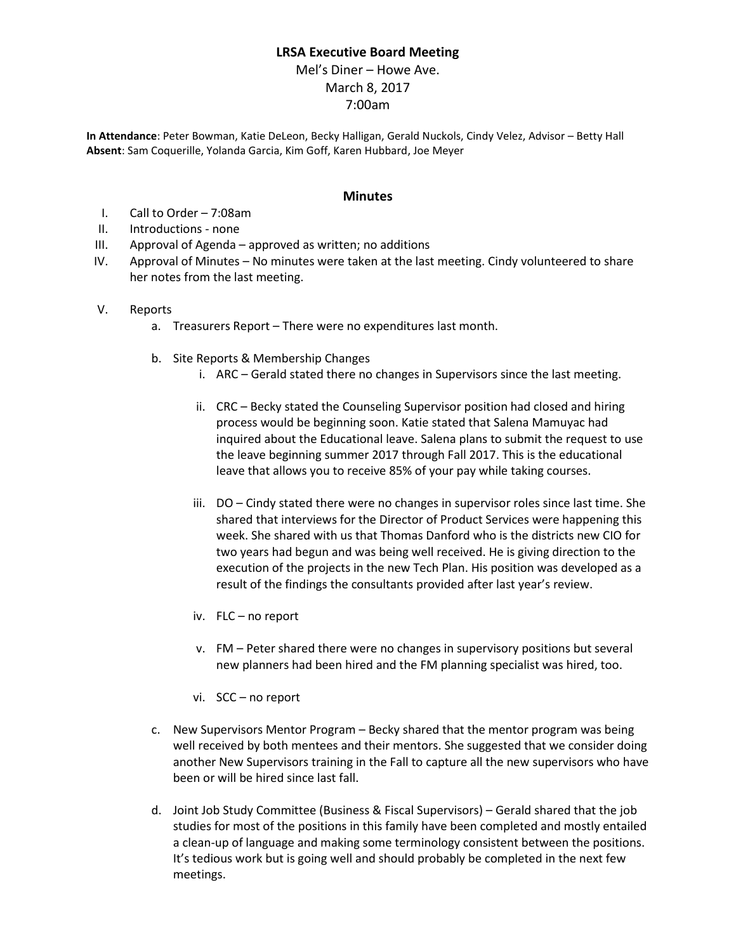## **LRSA Executive Board Meeting**

Mel's Diner – Howe Ave. March 8, 2017 7:00am

**In Attendance**: Peter Bowman, Katie DeLeon, Becky Halligan, Gerald Nuckols, Cindy Velez, Advisor – Betty Hall **Absent**: Sam Coquerille, Yolanda Garcia, Kim Goff, Karen Hubbard, Joe Meyer

## **Minutes**

- I. Call to Order 7:08am
- II. Introductions none
- III. Approval of Agenda approved as written; no additions
- IV. Approval of Minutes No minutes were taken at the last meeting. Cindy volunteered to share her notes from the last meeting.
- V. Reports
	- a. Treasurers Report There were no expenditures last month.
	- b. Site Reports & Membership Changes
		- i. ARC Gerald stated there no changes in Supervisors since the last meeting.
		- ii. CRC Becky stated the Counseling Supervisor position had closed and hiring process would be beginning soon. Katie stated that Salena Mamuyac had inquired about the Educational leave. Salena plans to submit the request to use the leave beginning summer 2017 through Fall 2017. This is the educational leave that allows you to receive 85% of your pay while taking courses.
		- iii. DO Cindy stated there were no changes in supervisor roles since last time. She shared that interviews for the Director of Product Services were happening this week. She shared with us that Thomas Danford who is the districts new CIO for two years had begun and was being well received. He is giving direction to the execution of the projects in the new Tech Plan. His position was developed as a result of the findings the consultants provided after last year's review.
		- iv. FLC no report
		- v. FM Peter shared there were no changes in supervisory positions but several new planners had been hired and the FM planning specialist was hired, too.
		- vi. SCC no report
	- c. New Supervisors Mentor Program Becky shared that the mentor program was being well received by both mentees and their mentors. She suggested that we consider doing another New Supervisors training in the Fall to capture all the new supervisors who have been or will be hired since last fall.
	- d. Joint Job Study Committee (Business & Fiscal Supervisors) Gerald shared that the job studies for most of the positions in this family have been completed and mostly entailed a clean-up of language and making some terminology consistent between the positions. It's tedious work but is going well and should probably be completed in the next few meetings.